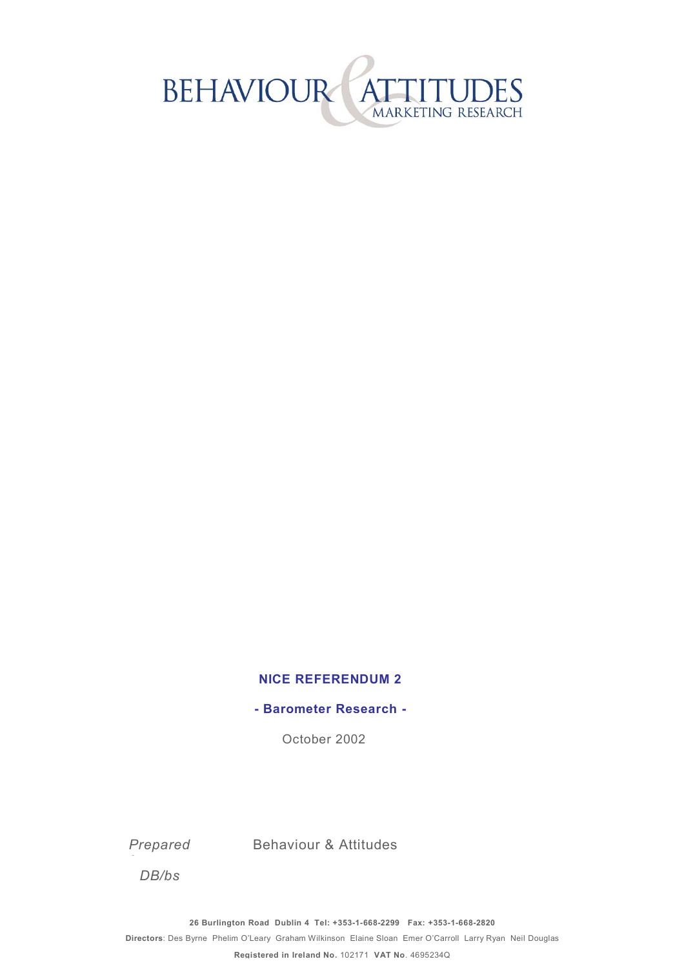

#### **NICE REFERENDUM 2**

**- Barometer Research -**

October 2002

*Prepared* 

Behaviour & Attitudes

*DB/bs*

*f*

**26 Burlington Road Dublin 4 Tel: +353-1-668-2299 Fax: +353-1-668-2820** 

**Directors**: Des Byrne Phelim OíLeary Graham Wilkinson Elaine Sloan Emer OíCarroll Larry Ryan Neil Douglas

**Registered in Ireland No.** 102171 **VAT No**. 4695234Q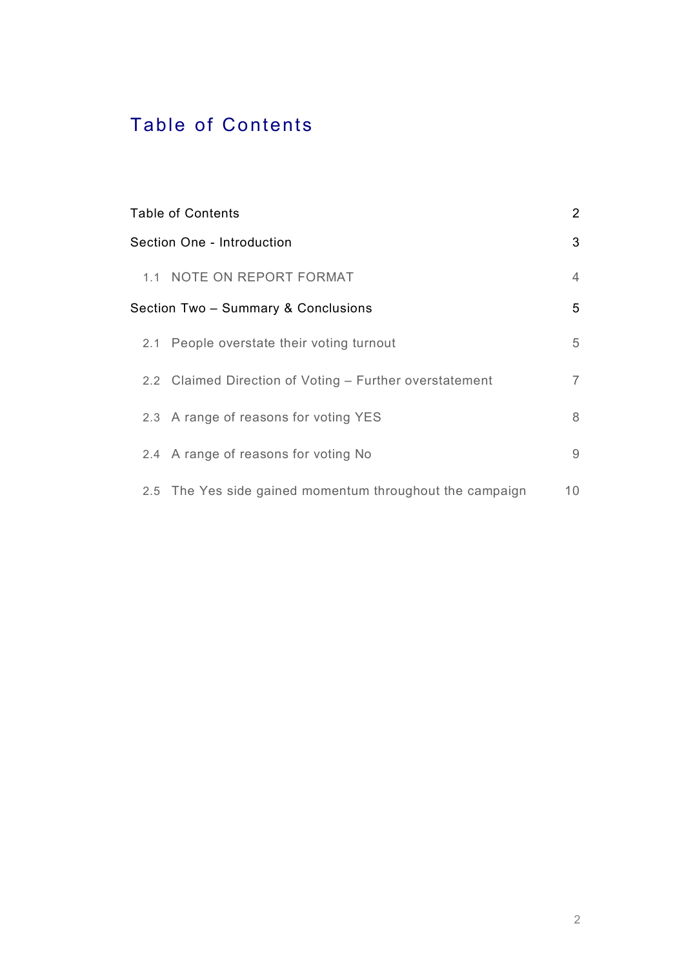# Table of Contents

| <b>Table of Contents</b>                                 | $\overline{2}$ |
|----------------------------------------------------------|----------------|
| Section One - Introduction                               | 3              |
| 1.1 NOTE ON REPORT FORMAT                                | $\overline{4}$ |
| Section Two - Summary & Conclusions                      | 5              |
| 2.1 People overstate their voting turnout                | 5              |
| 2.2 Claimed Direction of Voting - Further overstatement  | $\overline{7}$ |
| 2.3 A range of reasons for voting YES                    | 8              |
| 2.4 A range of reasons for voting No                     | 9              |
| 2.5 The Yes side gained momentum throughout the campaign | 10             |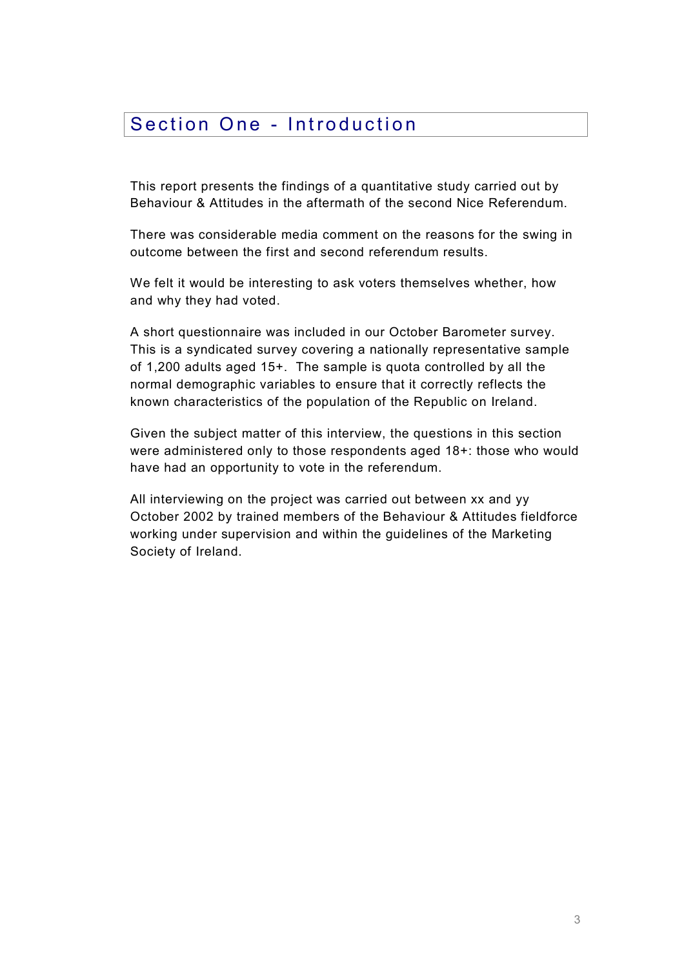## Section One - Introduction

This report presents the findings of a quantitative study carried out by Behaviour & Attitudes in the aftermath of the second Nice Referendum.

There was considerable media comment on the reasons for the swing in outcome between the first and second referendum results.

We felt it would be interesting to ask voters themselves whether, how and why they had voted.

A short questionnaire was included in our October Barometer survey. This is a syndicated survey covering a nationally representative sample of 1,200 adults aged 15+. The sample is quota controlled by all the normal demographic variables to ensure that it correctly reflects the known characteristics of the population of the Republic on Ireland.

Given the subject matter of this interview, the questions in this section were administered only to those respondents aged 18+: those who would have had an opportunity to vote in the referendum.

All interviewing on the project was carried out between xx and yy October 2002 by trained members of the Behaviour & Attitudes fieldforce working under supervision and within the guidelines of the Marketing Society of Ireland.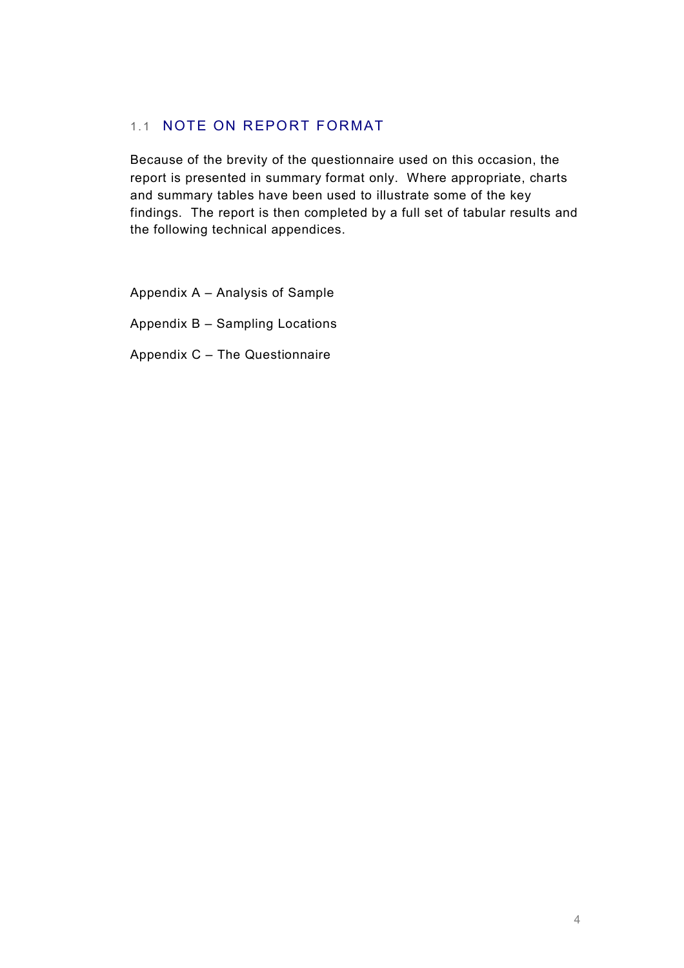#### 1.1 NOTE ON REPORT FORMAT

Because of the brevity of the questionnaire used on this occasion, the report is presented in summary format only. Where appropriate, charts and summary tables have been used to illustrate some of the key findings. The report is then completed by a full set of tabular results and the following technical appendices.

- Appendix  $A -$  Analysis of Sample
- Appendix  $B -$  Sampling Locations
- Appendix  $C -$  The Questionnaire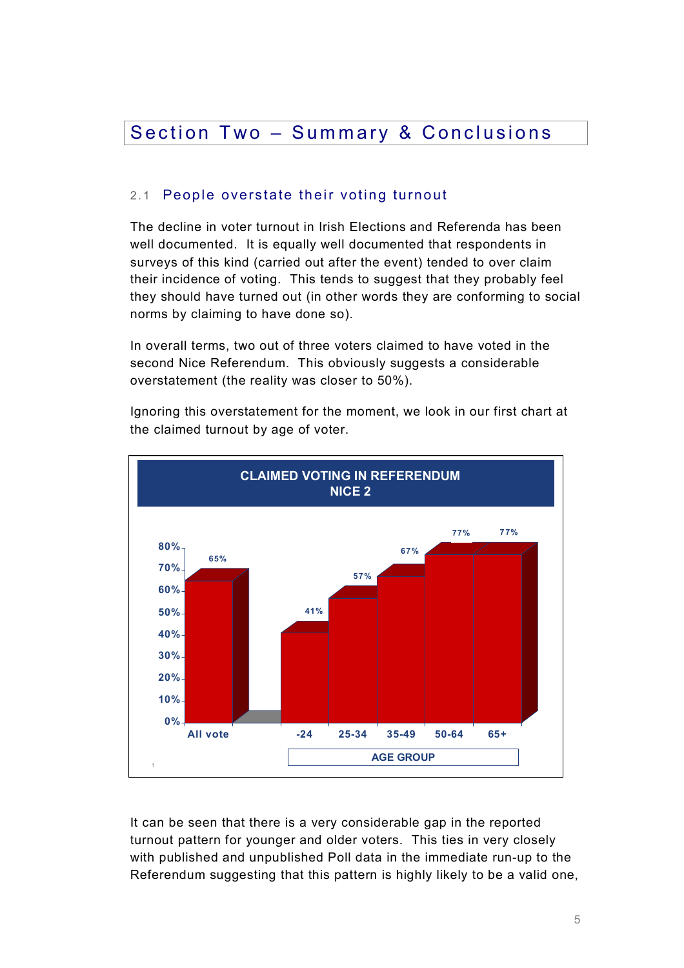### Section Two - Summary & Conclusions

#### 2.1 People overstate their voting turnout

The decline in voter turnout in Irish Elections and Referenda has been well documented. It is equally well documented that respondents in surveys of this kind (carried out after the event) tended to over claim their incidence of voting. This tends to suggest that they probably feel they should have turned out (in other words they are conforming to social norms by claiming to have done so).

In overall terms, two out of three voters claimed to have voted in the second Nice Referendum. This obviously suggests a considerable overstatement (the reality was closer to 50%).

Ignoring this overstatement for the moment, we look in our first chart at the claimed turnout by age of voter.



It can be seen that there is a very considerable gap in the reported turnout pattern for younger and older voters. This ties in very closely with published and unpublished Poll data in the immediate run-up to the Referendum suggesting that this pattern is highly likely to be a valid one,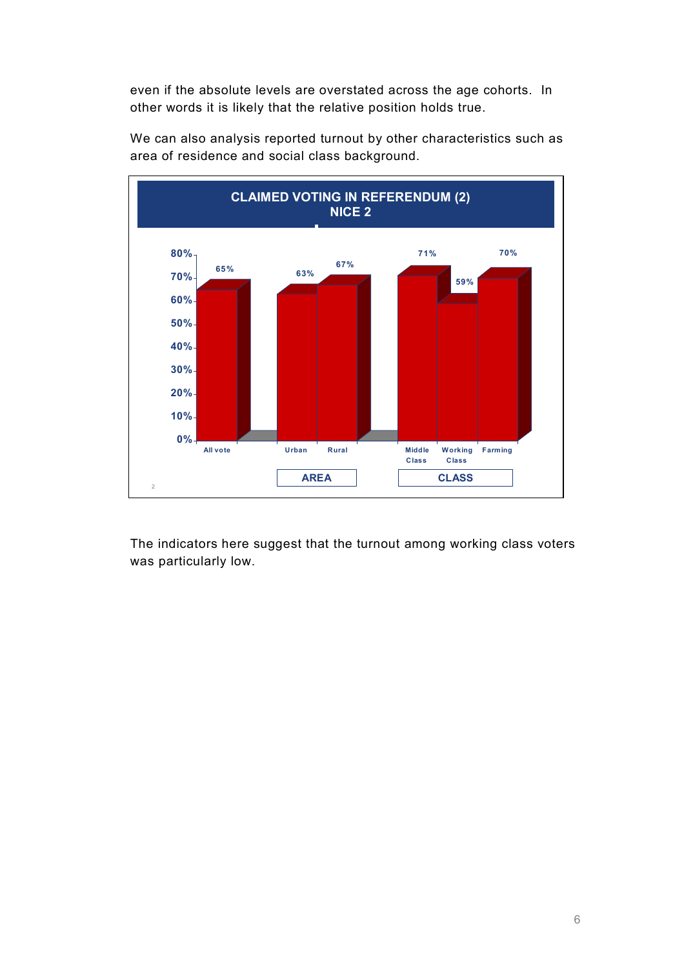even if the absolute levels are overstated across the age cohorts. In other words it is likely that the relative position holds true.



We can also analysis reported turnout by other characteristics such as area of residence and social class background.

The indicators here suggest that the turnout among working class voters was particularly low.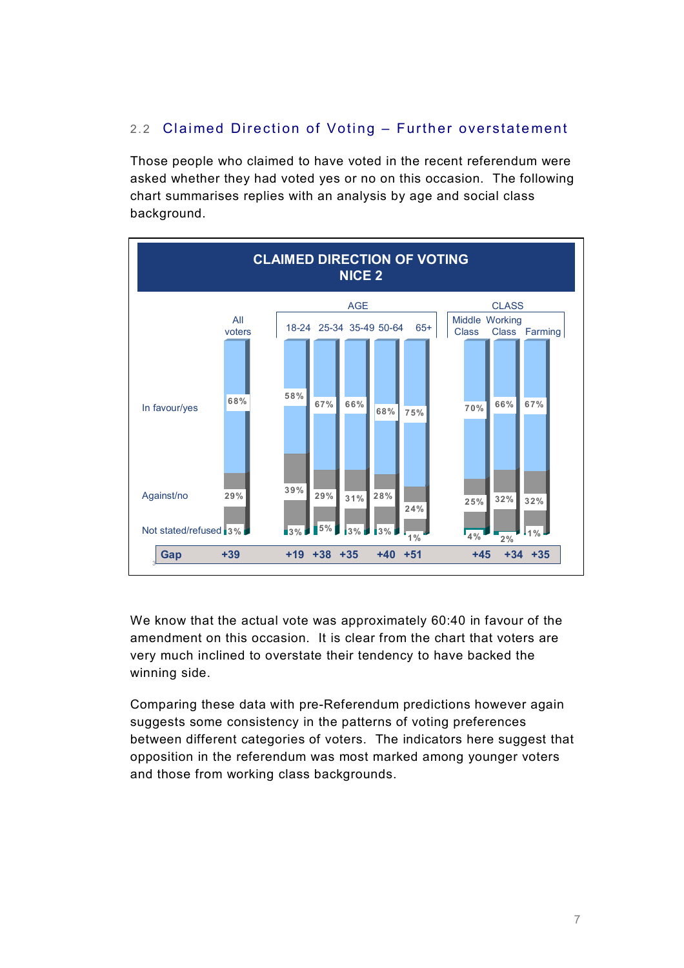### 2.2 Claimed Direction of Voting – Further overstatement

Those people who claimed to have voted in the recent referendum were asked whether they had voted yes or no on this occasion. The following chart summarises replies with an analysis by age and social class background.



We know that the actual vote was approximately 60:40 in favour of the amendment on this occasion. It is clear from the chart that voters are very much inclined to overstate their tendency to have backed the winning side.

Comparing these data with pre-Referendum predictions however again suggests some consistency in the patterns of voting preferences between different categories of voters. The indicators here suggest that opposition in the referendum was most marked among younger voters and those from working class backgrounds.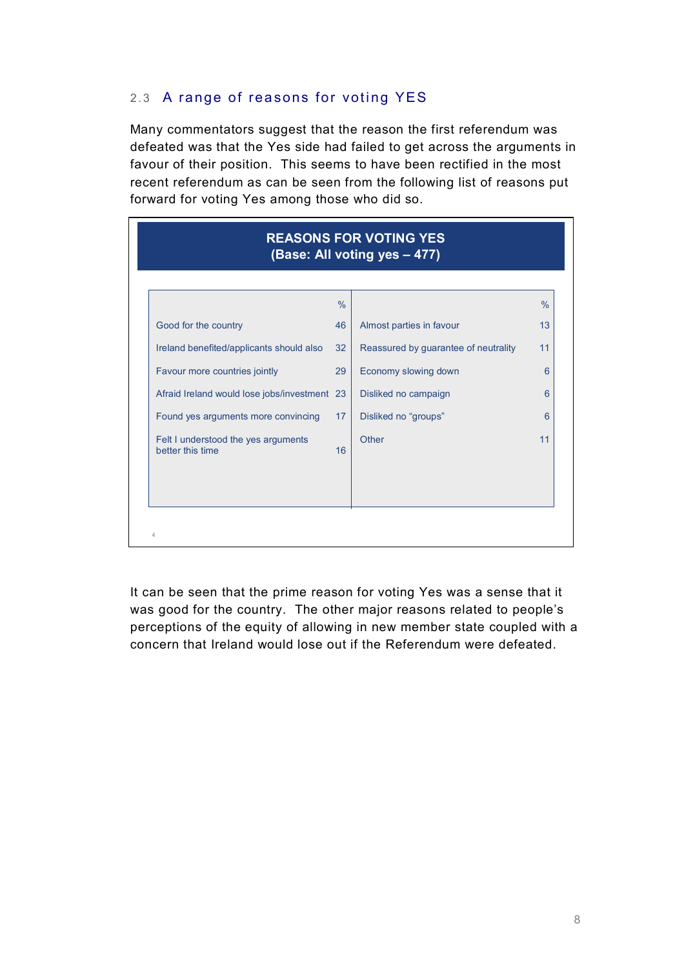#### 2.3 A range of reasons for voting YES

Many commentators suggest that the reason the first referendum was defeated was that the Yes side had failed to get across the arguments in favour of their position. This seems to have been rectified in the most recent referendum as can be seen from the following list of reasons put forward for voting Yes among those who did so.

| <b>REASONS FOR VOTING YES</b><br>(Base: All voting yes - 477) |                 |                                      |               |  |  |  |
|---------------------------------------------------------------|-----------------|--------------------------------------|---------------|--|--|--|
|                                                               | $\frac{0}{0}$   |                                      | $\frac{0}{0}$ |  |  |  |
| Good for the country                                          | 46              | Almost parties in favour             | 13            |  |  |  |
| Ireland benefited/applicants should also                      | 32 <sup>2</sup> | Reassured by guarantee of neutrality | 11            |  |  |  |
| Favour more countries jointly                                 | 29              | Economy slowing down                 | 6             |  |  |  |
| Afraid Ireland would lose jobs/investment 23                  |                 | Disliked no campaign                 | 6             |  |  |  |
| Found yes arguments more convincing                           | 17              | Disliked no "groups"                 | 6             |  |  |  |
| Felt I understood the yes arguments<br>better this time       | 16              | Other                                | 11            |  |  |  |
|                                                               |                 |                                      |               |  |  |  |
| $\overline{4}$                                                |                 |                                      |               |  |  |  |

It can be seen that the prime reason for voting Yes was a sense that it was good for the country. The other major reasons related to people's perceptions of the equity of allowing in new member state coupled with a concern that Ireland would lose out if the Referendum were defeated.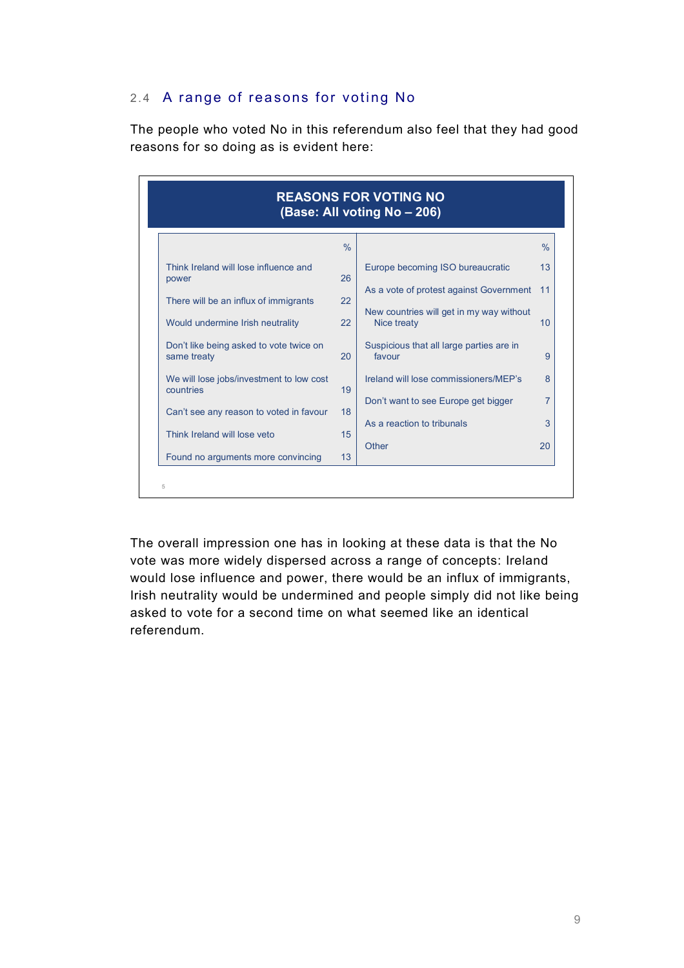#### 2.4 A range of reasons for voting No

The people who voted No in this referendum also feel that they had good reasons for so doing as is evident here:

| <b>REASONS FOR VOTING NO</b><br>(Base: All voting No - 206)               |               |                                                         |                |  |  |  |  |
|---------------------------------------------------------------------------|---------------|---------------------------------------------------------|----------------|--|--|--|--|
|                                                                           | $\frac{0}{0}$ |                                                         | $\frac{0}{6}$  |  |  |  |  |
| Think Ireland will lose influence and                                     |               | Europe becoming ISO bureaucratic                        | 13             |  |  |  |  |
| power                                                                     | 26<br>22      | As a vote of protest against Government                 | 11             |  |  |  |  |
| There will be an influx of immigrants<br>Would undermine Irish neutrality | 22            | New countries will get in my way without<br>Nice treaty | 10             |  |  |  |  |
| Don't like being asked to vote twice on<br>same treaty                    | 20            | Suspicious that all large parties are in<br>favour      | 9              |  |  |  |  |
| We will lose jobs/investment to low cost                                  |               | Ireland will lose commissioners/MEP's                   | 8              |  |  |  |  |
| countries                                                                 | 19            | Don't want to see Europe get bigger                     | $\overline{7}$ |  |  |  |  |
| Can't see any reason to voted in favour                                   | 18            | As a reaction to tribunals                              | 3              |  |  |  |  |
| Think Ireland will lose veto                                              | 15            | Other                                                   | 20             |  |  |  |  |
| Found no arguments more convincing                                        | 13            |                                                         |                |  |  |  |  |

The overall impression one has in looking at these data is that the No vote was more widely dispersed across a range of concepts: Ireland would lose influence and power, there would be an influx of immigrants, Irish neutrality would be undermined and people simply did not like being asked to vote for a second time on what seemed like an identical referendum.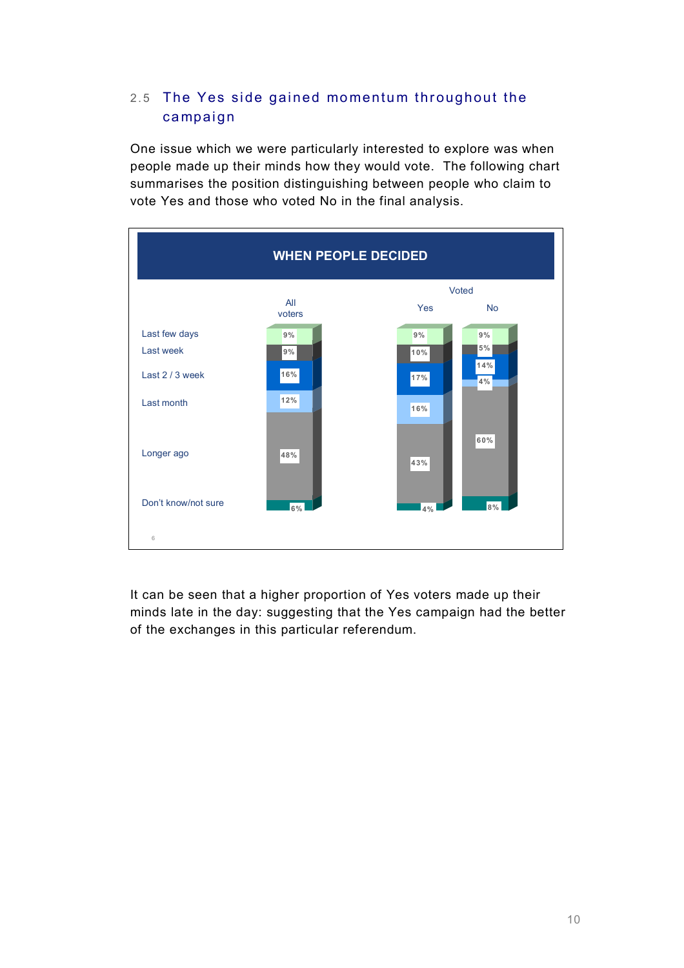### 2.5 The Yes side gained momentum throughout the campaign

One issue which we were particularly interested to explore was when people made up their minds how they would vote. The following chart summarises the position distinguishing between people who claim to vote Yes and those who voted No in the final analysis.



It can be seen that a higher proportion of Yes voters made up their minds late in the day: suggesting that the Yes campaign had the better of the exchanges in this particular referendum.